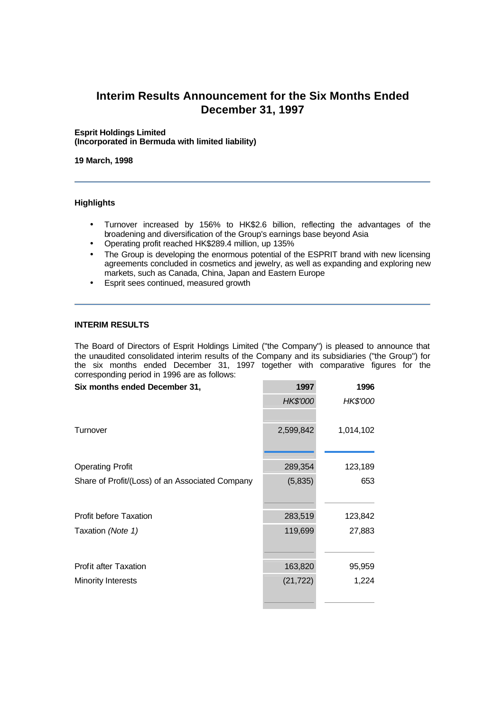# **Interim Results Announcement for the Six Months Ended December 31, 1997**

#### **Esprit Holdings Limited (Incorporated in Bermuda with limited liability)**

**19 March, 1998**

# **Highlights**

- Turnover increased by 156% to HK\$2.6 billion, reflecting the advantages of the broadening and diversification of the Group's earnings base beyond Asia
- Operating profit reached HK\$289.4 million, up 135%
- The Group is developing the enormous potential of the ESPRIT brand with new licensing agreements concluded in cosmetics and jewelry, as well as expanding and exploring new markets, such as Canada, China, Japan and Eastern Europe
- Esprit sees continued, measured growth

#### **INTERIM RESULTS**

The Board of Directors of Esprit Holdings Limited ("the Company") is pleased to announce that the unaudited consolidated interim results of the Company and its subsidiaries ("the Group") for the six months ended December 31, 1997 together with comparative figures for the corresponding period in 1996 are as follows:

| Six months ended December 31,                   | 1997      | 1996      |
|-------------------------------------------------|-----------|-----------|
|                                                 | HK\$'000  | HK\$'000  |
|                                                 |           |           |
| Turnover                                        | 2,599,842 | 1,014,102 |
|                                                 |           |           |
| <b>Operating Profit</b>                         | 289,354   | 123,189   |
| Share of Profit/(Loss) of an Associated Company | (5,835)   | 653       |
|                                                 |           |           |
| <b>Profit before Taxation</b>                   | 283,519   | 123,842   |
| Taxation (Note 1)                               | 119,699   | 27,883    |
|                                                 |           |           |
| <b>Profit after Taxation</b>                    | 163,820   | 95,959    |
| <b>Minority Interests</b>                       | (21, 722) | 1,224     |
|                                                 |           |           |
|                                                 |           |           |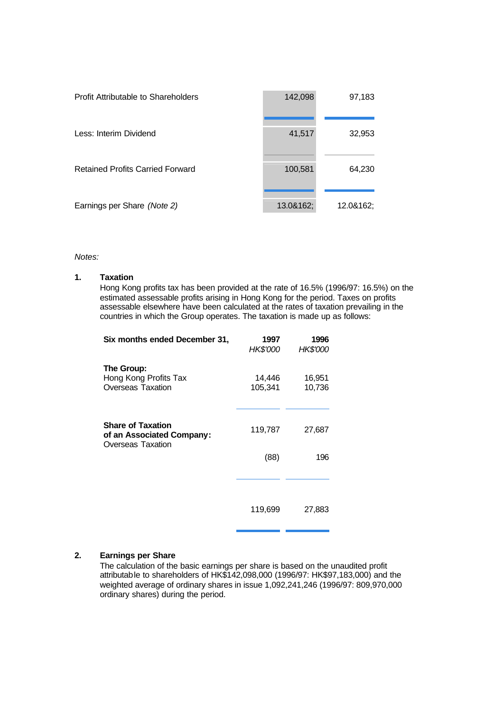| Profit Attributable to Shareholders     | 142,098   | 97,183    |
|-----------------------------------------|-----------|-----------|
| Less: Interim Dividend                  | 41,517    | 32,953    |
| <b>Retained Profits Carried Forward</b> | 100,581   | 64,230    |
| Earnings per Share (Note 2)             | 13.0&162; | 12.0&162; |

*Notes:*

#### **Taxation 1.**

Hong Kong profits tax has been provided at the rate of 16.5% (1996/97: 16.5%) on the estimated assessable profits arising in Hong Kong for the period. Taxes on profits assessable elsewhere have been calculated at the rates of taxation prevailing in the countries in which the Group operates. The taxation is made up as follows:

| Six months ended December 31,                                       | 1997<br>HK\$'000  | 1996<br><b>HK\$'000</b> |
|---------------------------------------------------------------------|-------------------|-------------------------|
| The Group:<br>Hong Kong Profits Tax<br><b>Overseas Taxation</b>     | 14,446<br>105,341 | 16,951<br>10,736        |
| Share of Taxation<br>of an Associated Company:<br>Overseas Taxation | 119,787           | 27,687                  |
|                                                                     | (88)              | 196                     |
|                                                                     |                   |                         |
|                                                                     | 119,699           | 27,883                  |

# **2. Earnings per Share**

The calculation of the basic earnings per share is based on the unaudited profit attributable to shareholders of HK\$142,098,000 (1996/97: HK\$97,183,000) and the weighted average of ordinary shares in issue 1,092,241,246 (1996/97: 809,970,000 ordinary shares) during the period.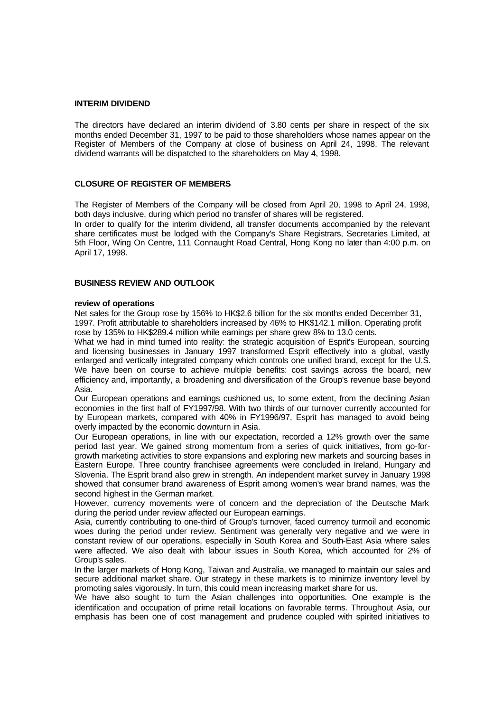#### **INTERIM DIVIDEND**

The directors have declared an interim dividend of 3.80 cents per share in respect of the six months ended December 31, 1997 to be paid to those shareholders whose names appear on the Register of Members of the Company at close of business on April 24, 1998. The relevant dividend warrants will be dispatched to the shareholders on May 4, 1998.

# **CLOSURE OF REGISTER OF MEMBERS**

The Register of Members of the Company will be closed from April 20, 1998 to April 24, 1998, both days inclusive, during which period no transfer of shares will be registered.

In order to qualify for the interim dividend, all transfer documents accompanied by the relevant share certificates must be lodged with the Company's Share Registrars, Secretaries Limited, at 5th Floor, Wing On Centre, 111 Connaught Road Central, Hong Kong no later than 4:00 p.m. on April 17, 1998.

### **BUSINESS REVIEW AND OUTLOOK**

#### **review of operations**

Net sales for the Group rose by 156% to HK\$2.6 billion for the six months ended December 31, 1997. Profit attributable to shareholders increased by 46% to HK\$142.1 million. Operating profit rose by 135% to HK\$289.4 million while earnings per share grew 8% to 13.0 cents.

What we had in mind turned into reality: the strategic acquisition of Esprit's European, sourcing and licensing businesses in January 1997 transformed Esprit effectively into a global, vastly enlarged and vertically integrated company which controls one unified brand, except for the U.S. We have been on course to achieve multiple benefits: cost savings across the board, new efficiency and, importantly, a broadening and diversification of the Group's revenue base beyond Asia.

Our European operations and earnings cushioned us, to some extent, from the declining Asian economies in the first half of FY1997/98. With two thirds of our turnover currently accounted for by European markets, compared with 40% in FY1996/97, Esprit has managed to avoid being overly impacted by the economic downturn in Asia.

Our European operations, in line with our expectation, recorded a 12% growth over the same period last year. We gained strong momentum from a series of quick initiatives, from go-forgrowth marketing activities to store expansions and exploring new markets and sourcing bases in Eastern Europe. Three country franchisee agreements were concluded in Ireland, Hungary and Slovenia. The Esprit brand also grew in strength. An independent market survey in January 1998 showed that consumer brand awareness of Esprit among women's wear brand names, was the second highest in the German market.

However, currency movements were of concern and the depreciation of the Deutsche Mark during the period under review affected our European earnings.

Asia, currently contributing to one-third of Group's turnover, faced currency turmoil and economic woes during the period under review. Sentiment was generally very negative and we were in constant review of our operations, especially in South Korea and South-East Asia where sales were affected. We also dealt with labour issues in South Korea, which accounted for 2% of Group's sales.

In the larger markets of Hong Kong, Taiwan and Australia, we managed to maintain our sales and secure additional market share. Our strategy in these markets is to minimize inventory level by promoting sales vigorously. In turn, this could mean increasing market share for us.

We have also sought to turn the Asian challenges into opportunities. One example is the identification and occupation of prime retail locations on favorable terms. Throughout Asia, our emphasis has been one of cost management and prudence coupled with spirited initiatives to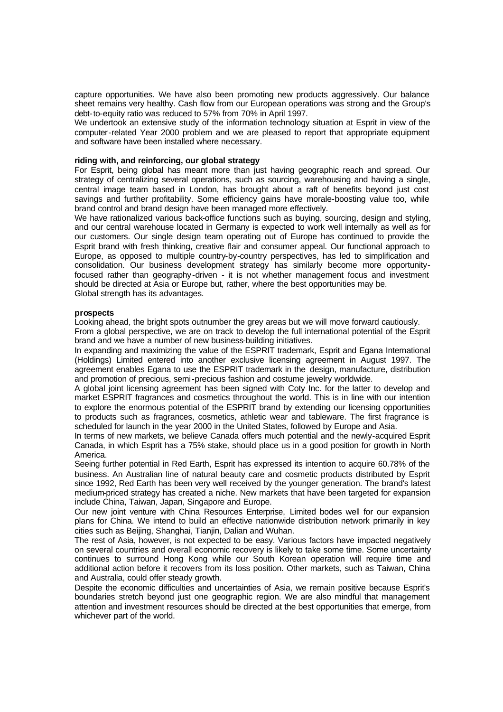capture opportunities. We have also been promoting new products aggressively. Our balance sheet remains very healthy. Cash flow from our European operations was strong and the Group's debt-to-equity ratio was reduced to 57% from 70% in April 1997.

We undertook an extensive study of the information technology situation at Esprit in view of the computer-related Year 2000 problem and we are pleased to report that appropriate equipment and software have been installed where necessary.

#### **riding with, and reinforcing, our global strategy**

For Esprit, being global has meant more than just having geographic reach and spread. Our strategy of centralizing several operations, such as sourcing, warehousing and having a single, central image team based in London, has brought about a raft of benefits beyond just cost savings and further profitability. Some efficiency gains have morale-boosting value too, while brand control and brand design have been managed more effectively.

We have rationalized various back-office functions such as buying, sourcing, design and styling, and our central warehouse located in Germany is expected to work well internally as well as for our customers. Our single design team operating out of Europe has continued to provide the Esprit brand with fresh thinking, creative flair and consumer appeal. Our functional approach to Europe, as opposed to multiple country-by-country perspectives, has led to simplification and consolidation. Our business development strategy has similarly become more opportunityfocused rather than geography-driven - it is not whether management focus and investment should be directed at Asia or Europe but, rather, where the best opportunities may be. Global strength has its advantages.

#### **prospects**

Looking ahead, the bright spots outnumber the grey areas but we will move forward cautiously.

From a global perspective, we are on track to develop the full international potential of the Esprit brand and we have a number of new business-building initiatives.

In expanding and maximizing the value of the ESPRIT trademark, Esprit and Egana International (Holdings) Limited entered into another exclusive licensing agreement in August 1997. The agreement enables Egana to use the ESPRIT trademark in the design, manufacture, distribution and promotion of precious, semi-precious fashion and costume jewelry worldwide.

A global joint licensing agreement has been signed with Coty Inc. for the latter to develop and market ESPRIT fragrances and cosmetics throughout the world. This is in line with our intention to explore the enormous potential of the ESPRIT brand by extending our licensing opportunities to products such as fragrances, cosmetics, athletic wear and tableware. The first fragrance is scheduled for launch in the year 2000 in the United States, followed by Europe and Asia.

In terms of new markets, we believe Canada offers much potential and the newly-acquired Esprit Canada, in which Esprit has a 75% stake, should place us in a good position for growth in North America.

Seeing further potential in Red Earth, Esprit has expressed its intention to acquire 60.78% of the business. An Australian line of natural beauty care and cosmetic products distributed by Esprit since 1992, Red Earth has been very well received by the younger generation. The brand's latest medium-priced strategy has created a niche. New markets that have been targeted for expansion include China, Taiwan, Japan, Singapore and Europe.

Our new joint venture with China Resources Enterprise, Limited bodes well for our expansion plans for China. We intend to build an effective nationwide distribution network primarily in key cities such as Beijing, Shanghai, Tianjin, Dalian and Wuhan.

The rest of Asia, however, is not expected to be easy. Various factors have impacted negatively on several countries and overall economic recovery is likely to take some time. Some uncertainty continues to surround Hong Kong while our South Korean operation will require time and additional action before it recovers from its loss position. Other markets, such as Taiwan, China and Australia, could offer steady growth.

Despite the economic difficulties and uncertainties of Asia, we remain positive because Esprit's boundaries stretch beyond just one geographic region. We are also mindful that management attention and investment resources should be directed at the best opportunities that emerge, from whichever part of the world.